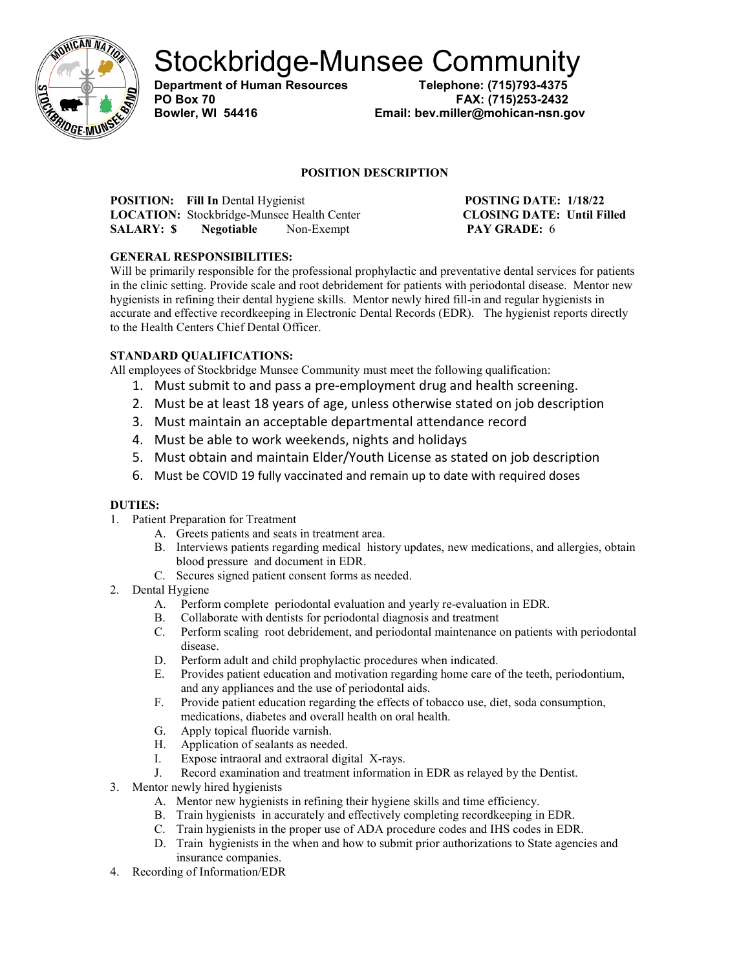

Stockbridge-Munsee Community<br>Department of Human Resources<br>Telephone: (715)793-4375

**Department of Human Resources** 

**PO Box 70 FAX: (715)253-2432 Bowler, WI 54416 Email: bev.miller@mohican-nsn.gov**

### **POSITION DESCRIPTION**

**POSITION:** Fill In Dental Hygienist **POSTING DATE:** 1/18/22<br> **LOCATION:** Stockbridge-Munsee Health Center **POSTING DATE:** Until Filled **LOCATION:** Stockbridge-Munsee Health Center **SALARY: \$ Negotiable** Non-Exempt **PAY GRADE:** 6

## **GENERAL RESPONSIBILITIES:**

Will be primarily responsible for the professional prophylactic and preventative dental services for patients in the clinic setting. Provide scale and root debridement for patients with periodontal disease. Mentor new hygienists in refining their dental hygiene skills. Mentor newly hired fill-in and regular hygienists in accurate and effective recordkeeping in Electronic Dental Records (EDR). The hygienist reports directly to the Health Centers Chief Dental Officer.

## **STANDARD QUALIFICATIONS:**

All employees of Stockbridge Munsee Community must meet the following qualification:

- 1. Must submit to and pass a pre-employment drug and health screening.
- 2. Must be at least 18 years of age, unless otherwise stated on job description
- 3. Must maintain an acceptable departmental attendance record
- 4. Must be able to work weekends, nights and holidays
- 5. Must obtain and maintain Elder/Youth License as stated on job description
- 6. Must be COVID 19 fully vaccinated and remain up to date with required doses

## **DUTIES:**

- 1. Patient Preparation for Treatment
	- A. Greets patients and seats in treatment area.
	- B. Interviews patients regarding medical history updates, new medications, and allergies, obtain blood pressure and document in EDR.
	- C. Secures signed patient consent forms as needed.
- 2. Dental Hygiene
	- A. Perform complete periodontal evaluation and yearly re-evaluation in EDR.
	- B. Collaborate with dentists for periodontal diagnosis and treatment
	- C. Perform scaling root debridement, and periodontal maintenance on patients with periodontal disease.
	- D. Perform adult and child prophylactic procedures when indicated.
	- E. Provides patient education and motivation regarding home care of the teeth, periodontium, and any appliances and the use of periodontal aids.
	- F. Provide patient education regarding the effects of tobacco use, diet, soda consumption, medications, diabetes and overall health on oral health.
	- G. Apply topical fluoride varnish.
	- H. Application of sealants as needed.
	- I. Expose intraoral and extraoral digital X-rays.
	- J. Record examination and treatment information in EDR as relayed by the Dentist.
- 3. Mentor newly hired hygienists
	- A. Mentor new hygienists in refining their hygiene skills and time efficiency.
	- B. Train hygienists in accurately and effectively completing recordkeeping in EDR.
	- C. Train hygienists in the proper use of ADA procedure codes and IHS codes in EDR.
	- D. Train hygienists in the when and how to submit prior authorizations to State agencies and insurance companies.
- 4. Recording of Information/EDR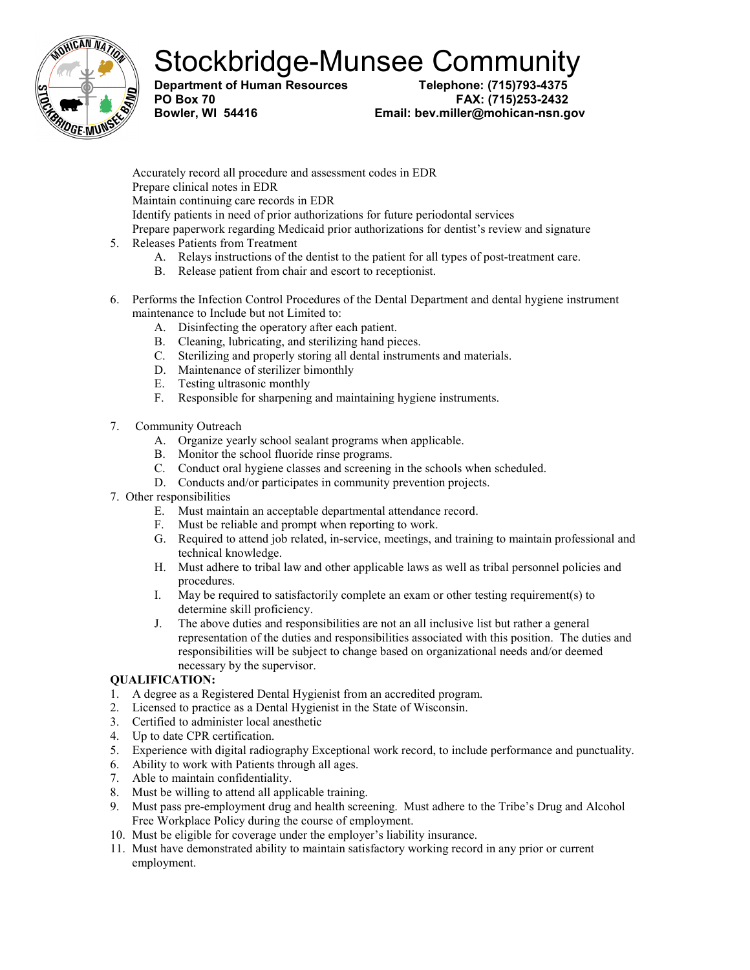# Stockbridge-Munsee Community<br>Department of Human Resources<br>Telephone: (715)793-4375

**Department of Human Resources** 

**PO Box 70 FAX: (715)253-2432 Bowler, WI 54416 Email: bev.miller@mohican-nsn.gov**

Accurately record all procedure and assessment codes in EDR Prepare clinical notes in EDR Maintain continuing care records in EDR Identify patients in need of prior authorizations for future periodontal services Prepare paperwork regarding Medicaid prior authorizations for dentist's review and signature 5. Releases Patients from Treatment

- A. Relays instructions of the dentist to the patient for all types of post-treatment care.
- B. Release patient from chair and escort to receptionist.
- 6. Performs the Infection Control Procedures of the Dental Department and dental hygiene instrument maintenance to Include but not Limited to:
	- A. Disinfecting the operatory after each patient.
	- B. Cleaning, lubricating, and sterilizing hand pieces.
	- C. Sterilizing and properly storing all dental instruments and materials.
	- D. Maintenance of sterilizer bimonthly
	- E. Testing ultrasonic monthly
	- F. Responsible for sharpening and maintaining hygiene instruments.
- 7. Community Outreach
	- A. Organize yearly school sealant programs when applicable.
	- B. Monitor the school fluoride rinse programs.
	- C. Conduct oral hygiene classes and screening in the schools when scheduled.
	- D. Conducts and/or participates in community prevention projects.
- 7. Other responsibilities
	- E. Must maintain an acceptable departmental attendance record.
	- F. Must be reliable and prompt when reporting to work.
	- G. Required to attend job related, in-service, meetings, and training to maintain professional and technical knowledge.
	- H. Must adhere to tribal law and other applicable laws as well as tribal personnel policies and procedures.
	- I. May be required to satisfactorily complete an exam or other testing requirement(s) to determine skill proficiency.
	- J. The above duties and responsibilities are not an all inclusive list but rather a general representation of the duties and responsibilities associated with this position. The duties and responsibilities will be subject to change based on organizational needs and/or deemed necessary by the supervisor.

### **QUALIFICATION:**

- 1. A degree as a Registered Dental Hygienist from an accredited program.
- 2. Licensed to practice as a Dental Hygienist in the State of Wisconsin.
- 3. Certified to administer local anesthetic
- 4. Up to date CPR certification.
- 5. Experience with digital radiography Exceptional work record, to include performance and punctuality.
- 6. Ability to work with Patients through all ages.
- 7. Able to maintain confidentiality.
- 8. Must be willing to attend all applicable training.
- 9. Must pass pre-employment drug and health screening. Must adhere to the Tribe's Drug and Alcohol Free Workplace Policy during the course of employment.
- 10. Must be eligible for coverage under the employer's liability insurance.
- 11. Must have demonstrated ability to maintain satisfactory working record in any prior or current employment.